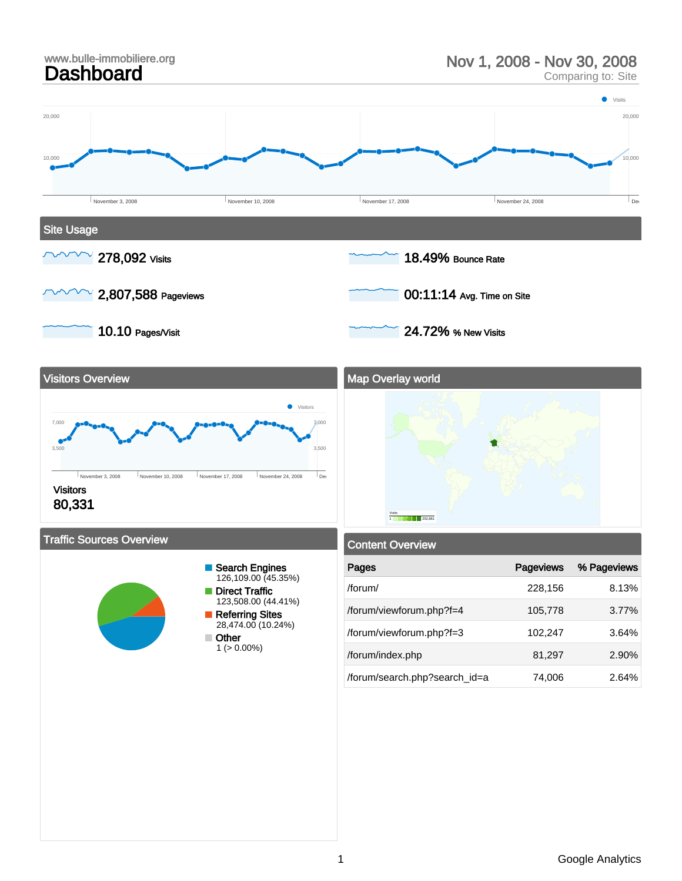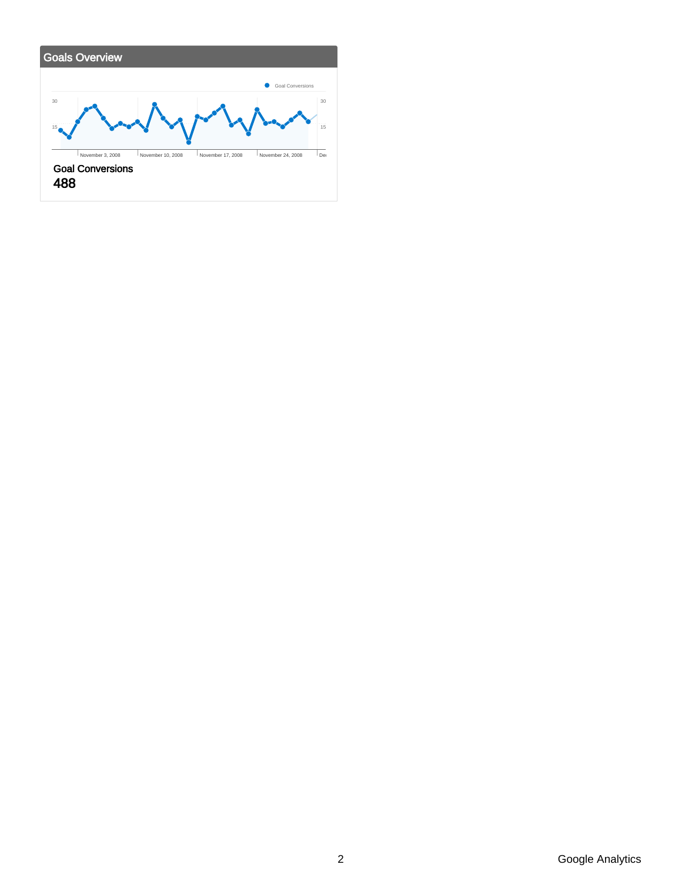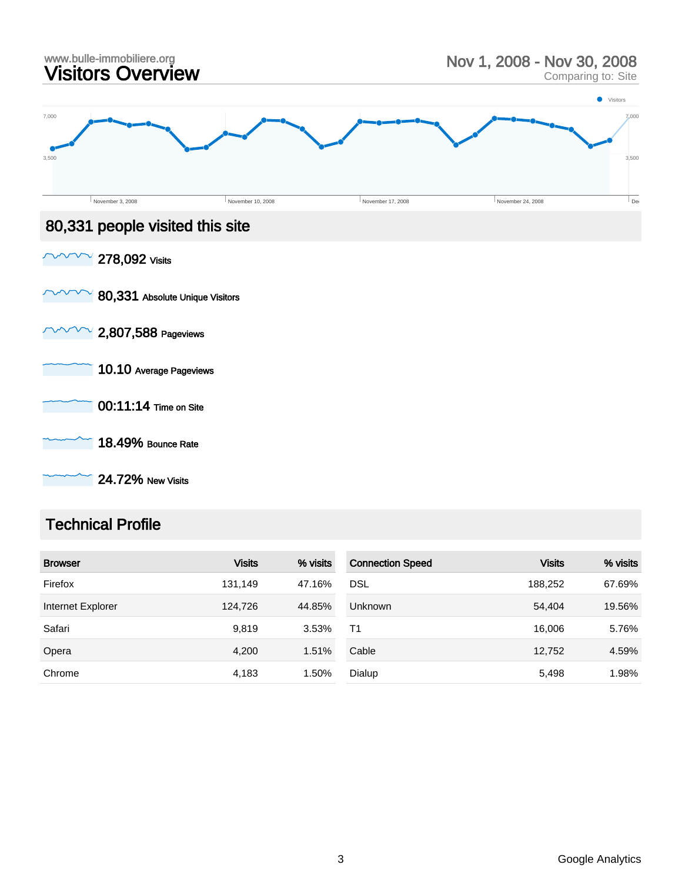

24.72% New Visits

#### Technical Profile

| <b>Browser</b>    | <b>Visits</b> | % visits | <b>Connection Speed</b> | <b>Visits</b> | % visits |
|-------------------|---------------|----------|-------------------------|---------------|----------|
| Firefox           | 131,149       | 47.16%   | <b>DSL</b>              | 188.252       | 67.69%   |
| Internet Explorer | 124,726       | 44.85%   | <b>Unknown</b>          | 54,404        | 19.56%   |
| Safari            | 9,819         | 3.53%    | T1                      | 16.006        | 5.76%    |
| Opera             | 4,200         | 1.51%    | Cable                   | 12,752        | 4.59%    |
| Chrome            | 4,183         | 1.50%    | Dialup                  | 5,498         | 1.98%    |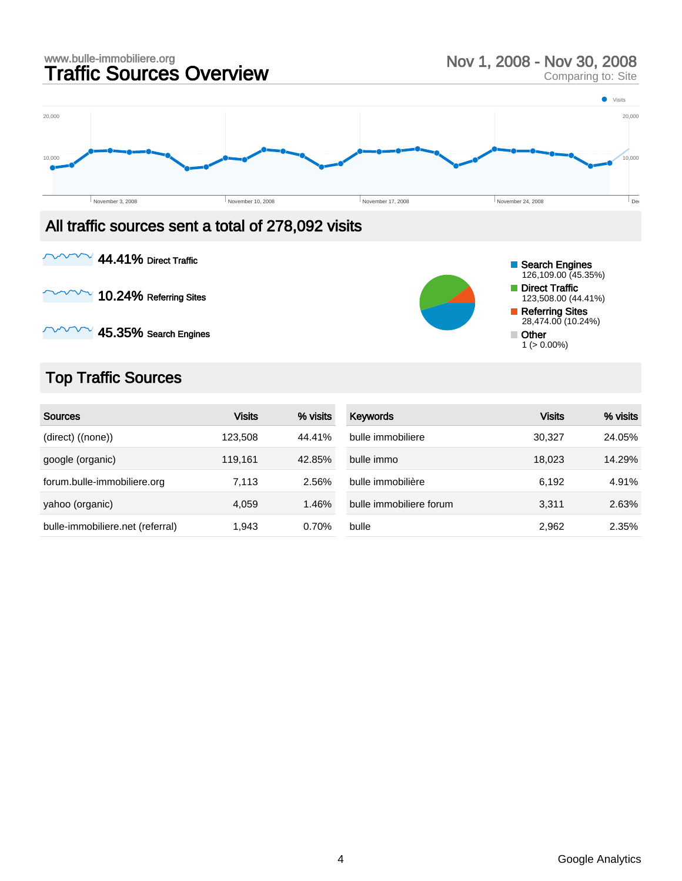

#### All traffic sources sent a total of 278,092 visits

44.41% Direct Traffic  $\checkmark$ 

 $\sqrt{ }$  10.24% Referring Sites

 $\sim$  45.35% Search Engines

# Top Traffic Sources

| <b>Sources</b>                   | <b>Visits</b> | % visits | <b>Keywords</b>         | <b>Visits</b> | % visits |
|----------------------------------|---------------|----------|-------------------------|---------------|----------|
| (direct) ((none))                | 123,508       | 44.41%   | bulle immobiliere       | 30.327        | 24.05%   |
| google (organic)                 | 119.161       | 42.85%   | bulle immo              | 18.023        | 14.29%   |
| forum.bulle-immobiliere.org      | 7,113         | 2.56%    | bulle immobilière       | 6,192         | 4.91%    |
| yahoo (organic)                  | 4.059         | 1.46%    | bulle immobiliere forum | 3.311         | 2.63%    |
| bulle-immobiliere.net (referral) | 1.943         | 0.70%    | bulle                   | 2,962         | 2.35%    |

Search Engines 126,109.00 (45.35%) Direct Traffic 123,508.00 (44.41%) Referring Sites 28,474.00 (10.24%)

Other  $1$  ( $> 0.00\%$ )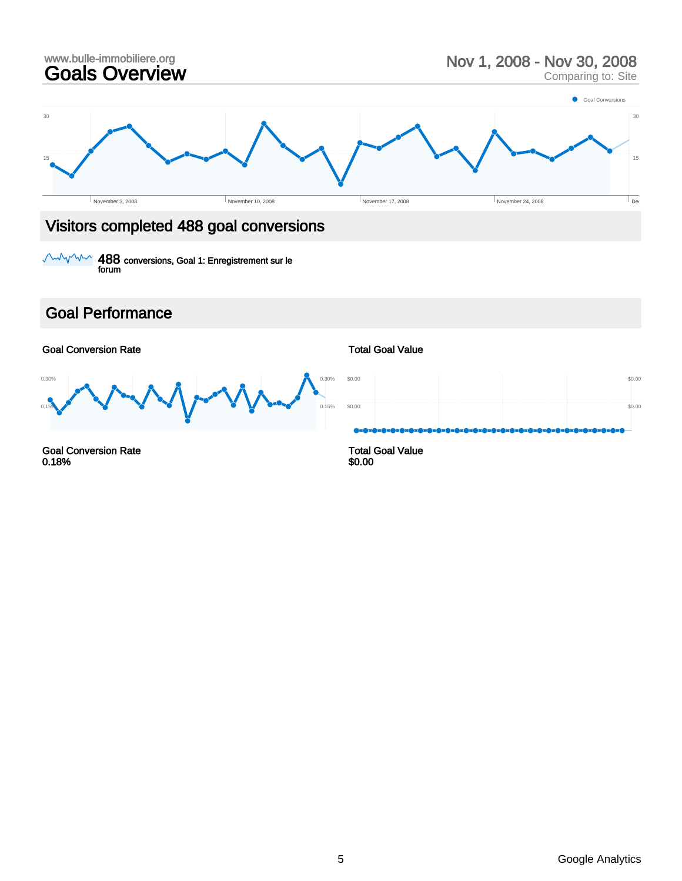## www.bulle-immobiliere.org<br> **Goals Overview** Nov 1, 2008 - Nov 30, 2008<br>
Comparing to: Site Comparing to: Site 15 30 15 30 November 3, 2008  $\blacksquare$  November 10, 2008  $\blacksquare$  November 17, 2008  $\blacksquare$  November 24, 2008  $\blacksquare$  December 24, 2008  $\blacksquare$ **Goal Conversions** Visitors completed 488 goal conversions

488 conversions, Goal 1: Enregistrement sur le forum

#### Goal Performance

Goal Conversion Rate

 $0.1$ 0.30% 0.15% 0.30%

Goal Conversion Rate 0.18%

#### Total Goal Value



Total Goal Value \$0.00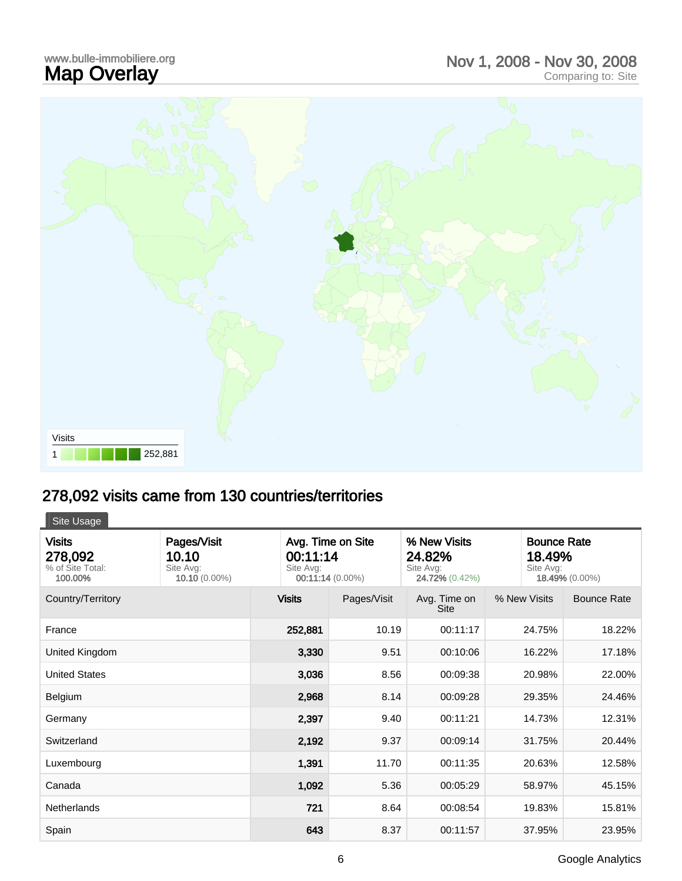## www.bulle-immobiliere.org<br>**Map Overlay** Map Overlay Nov 1, 2008 - Nov 30, 2008 Comparing to: Site



# 278,092 visits came from 130 countries/territories

Site Usage

| <b>Visits</b><br>278,092<br>% of Site Total:<br>100.00% | Pages/Visit<br>10.10<br>Site Avg:<br>$10.10(0.00\%)$ | Avg. Time on Site<br>00:11:14<br>Site Avg:<br>00:11:14 (0.00%) |             | % New Visits<br>24.82%<br>Site Avg:<br>24.72% (0.42%) | Site Avg:    | <b>Bounce Rate</b><br>18.49%<br>18.49% (0.00%) |  |
|---------------------------------------------------------|------------------------------------------------------|----------------------------------------------------------------|-------------|-------------------------------------------------------|--------------|------------------------------------------------|--|
| Country/Territory                                       |                                                      | <b>Visits</b>                                                  | Pages/Visit | Avg. Time on<br><b>Site</b>                           | % New Visits | <b>Bounce Rate</b>                             |  |
| France                                                  |                                                      | 252,881                                                        | 10.19       | 00:11:17                                              | 24.75%       | 18.22%                                         |  |
| United Kingdom                                          |                                                      | 3,330                                                          | 9.51        | 00:10:06                                              | 16.22%       | 17.18%                                         |  |
| <b>United States</b>                                    |                                                      | 3,036                                                          | 8.56        | 00:09:38                                              | 20.98%       | 22.00%                                         |  |
| Belgium                                                 |                                                      | 2,968                                                          | 8.14        | 00:09:28                                              | 29.35%       | 24.46%                                         |  |
| Germany                                                 |                                                      | 2,397                                                          | 9.40        | 00:11:21                                              | 14.73%       | 12.31%                                         |  |
| Switzerland                                             |                                                      | 2,192                                                          | 9.37        | 00:09:14                                              | 31.75%       | 20.44%                                         |  |
| Luxembourg                                              |                                                      | 1,391                                                          | 11.70       | 00:11:35                                              | 20.63%       | 12.58%                                         |  |
| Canada                                                  |                                                      | 1,092                                                          | 5.36        | 00:05:29                                              | 58.97%       | 45.15%                                         |  |
| Netherlands                                             |                                                      | 721                                                            | 8.64        | 00:08:54                                              | 19.83%       | 15.81%                                         |  |
| Spain                                                   |                                                      | 643                                                            | 8.37        | 00:11:57                                              | 37.95%       | 23.95%                                         |  |